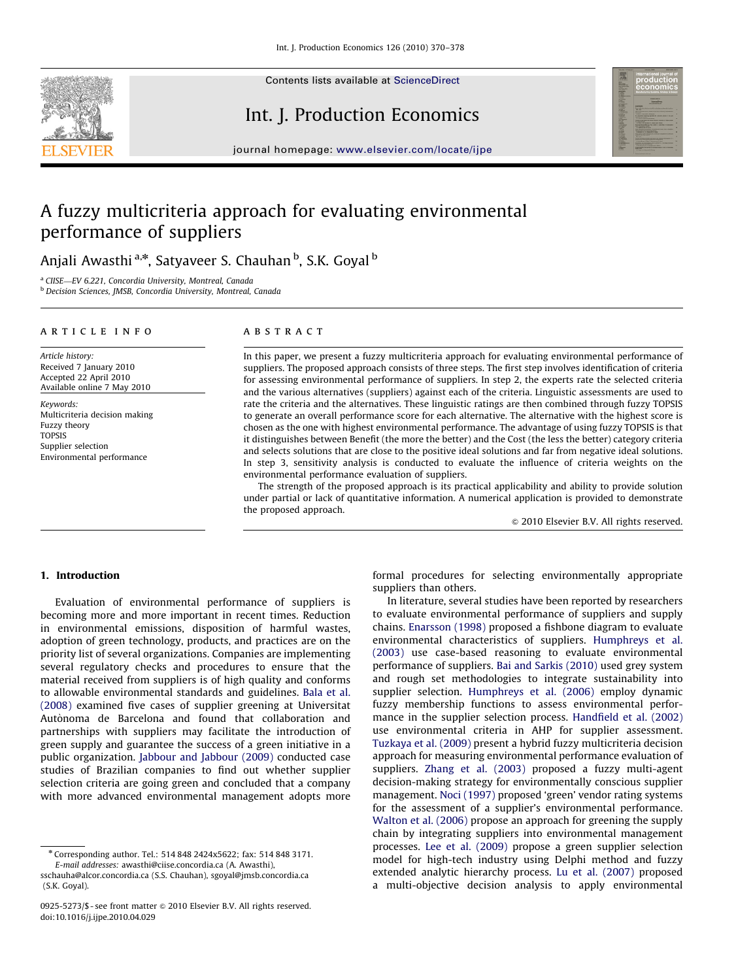

Contents lists available at ScienceDirect

# Int. J. Production Economics



journal homepage: <www.elsevier.com/locate/ijpe>

# A fuzzy multicriteria approach for evaluating environmental performance of suppliers

Anjali Awasthi <sup>a,\*</sup>, Satyaveer S. Chauhan <sup>b</sup>, S.K. Goyal <sup>b</sup>

<sup>a</sup> CIISE—EV 6.221, Concordia University, Montreal, Canada

b Decision Sciences, JMSB, Concordia University, Montreal, Canada

### article info

Article history: Received 7 January 2010 Accepted 22 April 2010 Available online 7 May 2010

Keywords: Multicriteria decision making Fuzzy theory TOPSIS Supplier selection Environmental performance

## **ABSTRACT**

In this paper, we present a fuzzy multicriteria approach for evaluating environmental performance of suppliers. The proposed approach consists of three steps. The first step involves identification of criteria for assessing environmental performance of suppliers. In step 2, the experts rate the selected criteria and the various alternatives (suppliers) against each of the criteria. Linguistic assessments are used to rate the criteria and the alternatives. These linguistic ratings are then combined through fuzzy TOPSIS to generate an overall performance score for each alternative. The alternative with the highest score is chosen as the one with highest environmental performance. The advantage of using fuzzy TOPSIS is that it distinguishes between Benefit (the more the better) and the Cost (the less the better) category criteria and selects solutions that are close to the positive ideal solutions and far from negative ideal solutions. In step 3, sensitivity analysis is conducted to evaluate the influence of criteria weights on the environmental performance evaluation of suppliers.

The strength of the proposed approach is its practical applicability and ability to provide solution under partial or lack of quantitative information. A numerical application is provided to demonstrate the proposed approach.

 $©$  2010 Elsevier B.V. All rights reserved.

## 1. Introduction

Evaluation of environmental performance of suppliers is becoming more and more important in recent times. Reduction in environmental emissions, disposition of harmful wastes, adoption of green technology, products, and practices are on the priority list of several organizations. Companies are implementing several regulatory checks and procedures to ensure that the material received from suppliers is of high quality and conforms to allowable environmental standards and guidelines. [Bala et al.](#page--1-0) [\(2008\)](#page--1-0) examined five cases of supplier greening at Universitat Autònoma de Barcelona and found that collaboration and partnerships with suppliers may facilitate the introduction of green supply and guarantee the success of a green initiative in a public organization. [Jabbour and Jabbour \(2009\)](#page--1-0) conducted case studies of Brazilian companies to find out whether supplier selection criteria are going green and concluded that a company with more advanced environmental management adopts more formal procedures for selecting environmentally appropriate suppliers than others.

In literature, several studies have been reported by researchers to evaluate environmental performance of suppliers and supply chains. [Enarsson \(1998\)](#page--1-0) proposed a fishbone diagram to evaluate environmental characteristics of suppliers. [Humphreys et al.](#page--1-0) [\(2003\)](#page--1-0) use case-based reasoning to evaluate environmental performance of suppliers. [Bai and Sarkis \(2010\)](#page--1-0) used grey system and rough set methodologies to integrate sustainability into supplier selection. [Humphreys et al. \(2006\)](#page--1-0) employ dynamic fuzzy membership functions to assess environmental performance in the supplier selection process. [Handfield et al. \(2002\)](#page--1-0) use environmental criteria in AHP for supplier assessment. [Tuzkaya et al. \(2009\)](#page--1-0) present a hybrid fuzzy multicriteria decision approach for measuring environmental performance evaluation of suppliers. [Zhang et al. \(2003\)](#page--1-0) proposed a fuzzy multi-agent decision-making strategy for environmentally conscious supplier management. [Noci \(1997\)](#page--1-0) proposed 'green' vendor rating systems for the assessment of a supplier's environmental performance. [Walton et al. \(2006\)](#page--1-0) propose an approach for greening the supply chain by integrating suppliers into environmental management processes. [Lee et al. \(2009\)](#page--1-0) propose a green supplier selection model for high-tech industry using Delphi method and fuzzy extended analytic hierarchy process. [Lu et al. \(2007\)](#page--1-0) proposed a multi-objective decision analysis to apply environmental

<sup>n</sup> Corresponding author. Tel.: 514 848 2424x5622; fax: 514 848 3171. E-mail addresses: [awasthi@ciise.concordia.ca \(A. Awasthi\)](mailto:awasthi@ciise.concordia.ca),

[sschauha@alcor.concordia.ca \(S.S. Chauhan\),](mailto:sschauha@alcor.concordia.ca) [sgoyal@jmsb.concordia.ca](mailto:sgoyal@jmsb.concordia.ca) [\(S.K. Goyal\)](mailto:sgoyal@jmsb.concordia.ca).

<sup>0925-5273/\$ -</sup> see front matter @ 2010 Elsevier B.V. All rights reserved. doi:[10.1016/j.ijpe.2010.04.029](dx.doi.org/10.1016/j.ijpe.2010.04.029)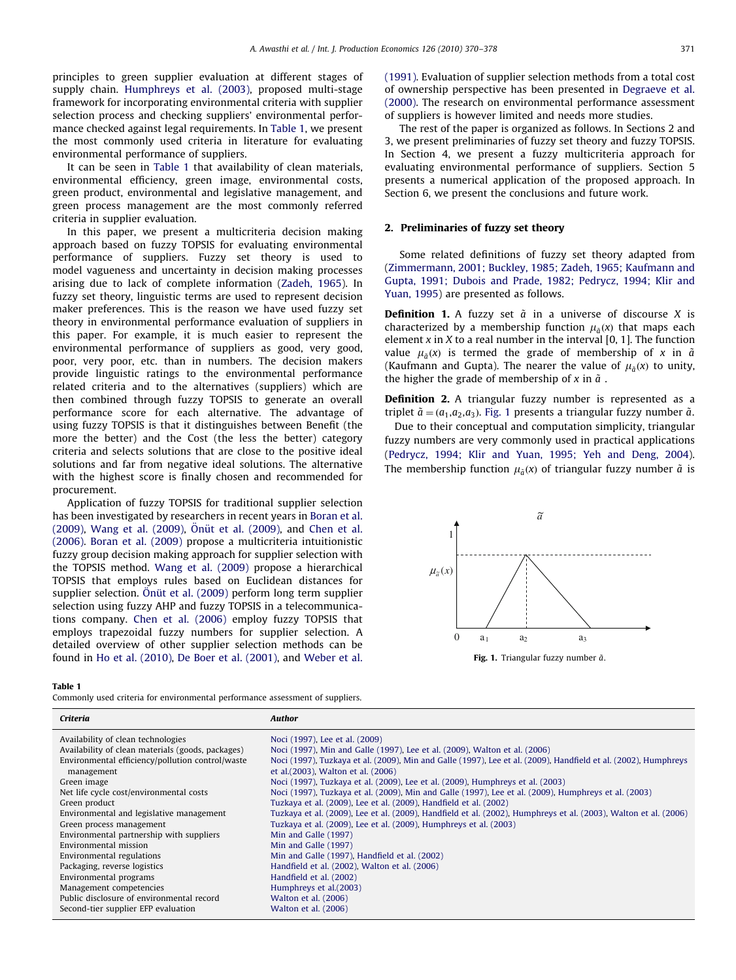principles to green supplier evaluation at different stages of supply chain. [Humphreys et al. \(2003\)](#page--1-0), proposed multi-stage framework for incorporating environmental criteria with supplier selection process and checking suppliers' environmental performance checked against legal requirements. In Table 1, we present the most commonly used criteria in literature for evaluating environmental performance of suppliers.

It can be seen in Table 1 that availability of clean materials, environmental efficiency, green image, environmental costs, green product, environmental and legislative management, and green process management are the most commonly referred criteria in supplier evaluation.

In this paper, we present a multicriteria decision making approach based on fuzzy TOPSIS for evaluating environmental performance of suppliers. Fuzzy set theory is used to model vagueness and uncertainty in decision making processes arising due to lack of complete information ([Zadeh, 1965\)](#page--1-0). In fuzzy set theory, linguistic terms are used to represent decision maker preferences. This is the reason we have used fuzzy set theory in environmental performance evaluation of suppliers in this paper. For example, it is much easier to represent the environmental performance of suppliers as good, very good, poor, very poor, etc. than in numbers. The decision makers provide linguistic ratings to the environmental performance related criteria and to the alternatives (suppliers) which are then combined through fuzzy TOPSIS to generate an overall performance score for each alternative. The advantage of using fuzzy TOPSIS is that it distinguishes between Benefit (the more the better) and the Cost (the less the better) category criteria and selects solutions that are close to the positive ideal solutions and far from negative ideal solutions. The alternative with the highest score is finally chosen and recommended for procurement.

Application of fuzzy TOPSIS for traditional supplier selection has been investigated by researchers in recent years in [Boran et al.](#page--1-0) [\(2009\),](#page--1-0) [Wang et al. \(2009\),](#page--1-0) Önü[t et al. \(2009\)](#page--1-0), and [Chen et al.](#page--1-0) [\(2006\).](#page--1-0) [Boran et al. \(2009\)](#page--1-0) propose a multicriteria intuitionistic fuzzy group decision making approach for supplier selection with the TOPSIS method. [Wang et al. \(2009\)](#page--1-0) propose a hierarchical TOPSIS that employs rules based on Euclidean distances for supplier selection. Önüt et al. (2009) perform long term supplier selection using fuzzy AHP and fuzzy TOPSIS in a telecommunications company. [Chen et al. \(2006\)](#page--1-0) employ fuzzy TOPSIS that employs trapezoidal fuzzy numbers for supplier selection. A detailed overview of other supplier selection methods can be found in [Ho et al. \(2010\),](#page--1-0) [De Boer et al. \(2001\)](#page--1-0), and [Weber et al.](#page--1-0)

#### Table 1

Commonly used criteria for environmental performance assessment of suppliers.

[\(1991\).](#page--1-0) Evaluation of supplier selection methods from a total cost of ownership perspective has been presented in [Degraeve et al.](#page--1-0) [\(2000\).](#page--1-0) The research on environmental performance assessment of suppliers is however limited and needs more studies.

The rest of the paper is organized as follows. In Sections 2 and 3, we present preliminaries of fuzzy set theory and fuzzy TOPSIS. In Section 4, we present a fuzzy multicriteria approach for evaluating environmental performance of suppliers. Section 5 presents a numerical application of the proposed approach. In Section 6, we present the conclusions and future work.

#### 2. Preliminaries of fuzzy set theory

Some related definitions of fuzzy set theory adapted from ([Zimmermann, 2001; Buckley, 1985; Zadeh, 1965; Kaufmann and](#page--1-0) [Gupta, 1991; Dubois and Prade, 1982; Pedrycz, 1994; Klir and](#page--1-0) [Yuan, 1995\)](#page--1-0) are presented as follows.

**Definition 1.** A fuzzy set  $\tilde{a}$  in a universe of discourse X is characterized by a membership function  $\mu_{\tilde{\sigma}}(x)$  that maps each element  $x$  in  $X$  to a real number in the interval  $[0, 1]$ . The function value  $\mu_{\tilde{\sigma}}(x)$  is termed the grade of membership of x in  $\tilde{a}$ (Kaufmann and Gupta). The nearer the value of  $\mu_{\tilde{\sigma}}(x)$  to unity, the higher the grade of membership of  $x$  in  $\tilde{a}$ .

Definition 2. A triangular fuzzy number is represented as a triplet  $\tilde{a} = (a_1, a_2, a_3)$ . Fig. 1 presents a triangular fuzzy number  $\tilde{a}$ .

Due to their conceptual and computation simplicity, triangular fuzzy numbers are very commonly used in practical applications ([Pedrycz, 1994; Klir and Yuan, 1995; Yeh and Deng, 2004\)](#page--1-0). The membership function  $\mu_{\tilde{\sigma}}(x)$  of triangular fuzzy number  $\tilde{a}$  is



| Criteria                                          | Author                                                                                                           |
|---------------------------------------------------|------------------------------------------------------------------------------------------------------------------|
| Availability of clean technologies                | Noci (1997), Lee et al. (2009)                                                                                   |
| Availability of clean materials (goods, packages) | Noci (1997), Min and Galle (1997), Lee et al. (2009), Walton et al. (2006)                                       |
| Environmental efficiency/pollution control/waste  | Noci (1997), Tuzkaya et al. (2009), Min and Galle (1997), Lee et al. (2009), Handfield et al. (2002), Humphreys  |
| management                                        | et al. (2003), Walton et al. (2006)                                                                              |
| Green image                                       | Noci (1997), Tuzkaya et al. (2009), Lee et al. (2009), Humphreys et al. (2003)                                   |
| Net life cycle cost/environmental costs           | Noci (1997), Tuzkaya et al. (2009), Min and Galle (1997), Lee et al. (2009), Humphreys et al. (2003)             |
| Green product                                     | Tuzkaya et al. (2009), Lee et al. (2009), Handfield et al. (2002)                                                |
| Environmental and legislative management          | Tuzkaya et al. (2009), Lee et al. (2009), Handfield et al. (2002), Humphreys et al. (2003), Walton et al. (2006) |
| Green process management                          | Tuzkaya et al. (2009), Lee et al. (2009), Humphreys et al. (2003)                                                |
| Environmental partnership with suppliers          | Min and Galle (1997)                                                                                             |
| Environmental mission                             | Min and Galle (1997)                                                                                             |
| Environmental regulations                         | Min and Galle (1997), Handfield et al. (2002)                                                                    |
| Packaging, reverse logistics                      | Handfield et al. (2002), Walton et al. (2006)                                                                    |
| Environmental programs                            | Handfield et al. (2002)                                                                                          |
| Management competencies                           | Humphreys et al.(2003)                                                                                           |
| Public disclosure of environmental record         | Walton et al. (2006)                                                                                             |
| Second-tier supplier EFP evaluation               | Walton et al. (2006)                                                                                             |
|                                                   |                                                                                                                  |